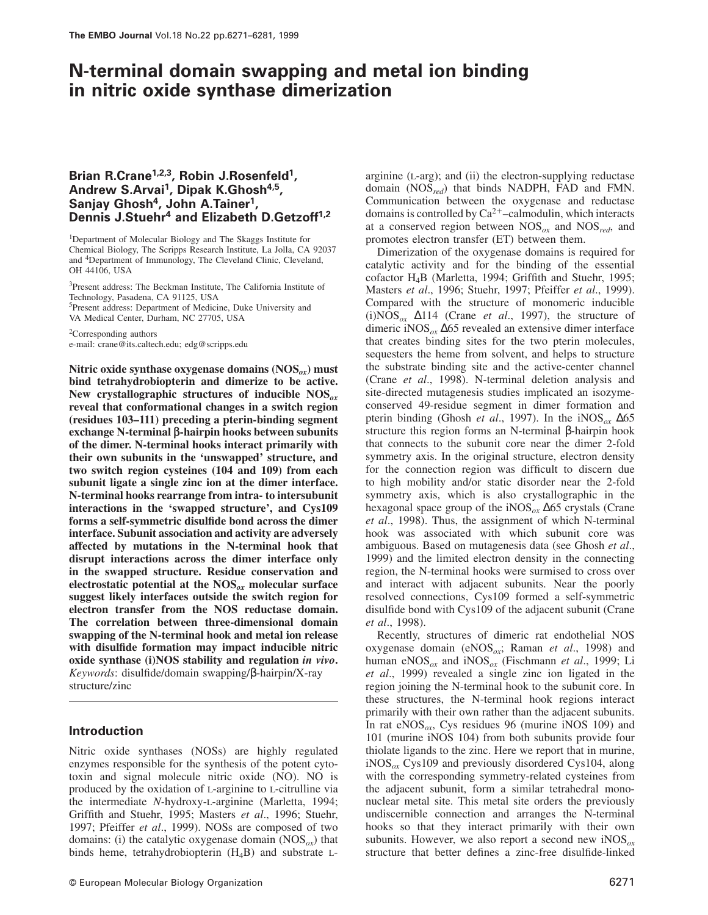# **N-terminal domain swapping and metal ion binding in nitric oxide synthase dimerization**

# **Brian R.Crane1,2,3, Robin J.Rosenfeld<sup>1</sup> , Andrew S.Arvai<sup>1</sup> , Dipak K.Ghosh4,5 , Sanjay Ghosh<sup>4</sup> , John A.Tainer<sup>1</sup> , Dennis J.Stuehr<sup>4</sup> and Elizabeth D.Getzoff1,2**

<sup>1</sup>Department of Molecular Biology and The Skaggs Institute for Chemical Biology, The Scripps Research Institute, La Jolla, CA 92037 and <sup>4</sup>Department of Immunology, The Cleveland Clinic, Cleveland, OH 44106, USA

<sup>3</sup>Present address: The Beckman Institute, The California Institute of Technology, Pasadena, CA 91125, USA <sup>5</sup>Present address: Department of Medicine, Duke University and VA Medical Center, Durham, NC 27705, USA

<sup>2</sup>Corresponding authors e-mail: crane@its.caltech.edu; edg@scripps.edu

**Nitric oxide synthase oxygenase domains (NOS***ox***) must bind tetrahydrobiopterin and dimerize to be active. New crystallographic structures of inducible NOS***ox* **reveal that conformational changes in a switch region (residues 103–111) preceding a pterin-binding segment exchange N-terminal β-hairpin hooks between subunits of the dimer. N-terminal hooks interact primarily with their own subunits in the 'unswapped' structure, and two switch region cysteines (104 and 109) from each subunit ligate a single zinc ion at the dimer interface. N-terminal hooks rearrange from intra- to intersubunit interactions in the 'swapped structure', and Cys109 forms a self-symmetric disulfide bond across the dimer interface. Subunit association and activity are adversely affected by mutations in the N-terminal hook that disrupt interactions across the dimer interface only in the swapped structure. Residue conservation and electrostatic potential at the NOS***ox* **molecular surface suggest likely interfaces outside the switch region for electron transfer from the NOS reductase domain. The correlation between three-dimensional domain swapping of the N-terminal hook and metal ion release with disulfide formation may impact inducible nitric oxide synthase (i)NOS stability and regulation** *in vivo***.** *Keywords*: disulfide/domain swapping/β-hairpin/X-ray structure/zinc

## **Introduction**

Nitric oxide synthases (NOSs) are highly regulated enzymes responsible for the synthesis of the potent cytotoxin and signal molecule nitric oxide (NO). NO is produced by the oxidation of L-arginine to L-citrulline via the intermediate *N-*hydroxy-L-arginine (Marletta, 1994; Griffith and Stuehr, 1995; Masters *et al*., 1996; Stuehr, 1997; Pfeiffer *et al*., 1999). NOSs are composed of two domains: (i) the catalytic oxygenase domain (NOS*ox*) that binds heme, tetrahydrobiopterin  $(H_4B)$  and substrate L-

arginine (L-arg); and (ii) the electron-supplying reductase domain (NOS*red*) that binds NADPH, FAD and FMN. Communication between the oxygenase and reductase domains is controlled by  $Ca^{2+}$ –calmodulin, which interacts at a conserved region between NOS*ox* and NOS*red*, and promotes electron transfer (ET) between them.

Dimerization of the oxygenase domains is required for catalytic activity and for the binding of the essential cofactor H4B (Marletta, 1994; Griffith and Stuehr, 1995; Masters *et al*., 1996; Stuehr, 1997; Pfeiffer *et al*., 1999). Compared with the structure of monomeric inducible (i)NOS*ox* ∆114 (Crane *et al*., 1997), the structure of dimeric iNOS*ox* ∆65 revealed an extensive dimer interface that creates binding sites for the two pterin molecules, sequesters the heme from solvent, and helps to structure the substrate binding site and the active-center channel (Crane *et al*., 1998). N-terminal deletion analysis and site-directed mutagenesis studies implicated an isozymeconserved 49-residue segment in dimer formation and pterin binding (Ghosh *et al*., 1997). In the iNOS*ox* ∆65 structure this region forms an N-terminal β-hairpin hook that connects to the subunit core near the dimer 2-fold symmetry axis. In the original structure, electron density for the connection region was difficult to discern due to high mobility and/or static disorder near the 2-fold symmetry axis, which is also crystallographic in the hexagonal space group of the iNOS*ox* ∆65 crystals (Crane *et al*., 1998). Thus, the assignment of which N-terminal hook was associated with which subunit core was ambiguous. Based on mutagenesis data (see Ghosh *et al*., 1999) and the limited electron density in the connecting region, the N-terminal hooks were surmised to cross over and interact with adjacent subunits. Near the poorly resolved connections, Cys109 formed a self-symmetric disulfide bond with Cys109 of the adjacent subunit (Crane *et al*., 1998).

Recently, structures of dimeric rat endothelial NOS oxygenase domain (eNOS*ox*; Raman *et al*., 1998) and human eNOS*ox* and iNOS*ox* (Fischmann *et al*., 1999; Li *et al*., 1999) revealed a single zinc ion ligated in the region joining the N-terminal hook to the subunit core. In these structures, the N-terminal hook regions interact primarily with their own rather than the adjacent subunits. In rat eNOS*ox*, Cys residues 96 (murine iNOS 109) and 101 (murine iNOS 104) from both subunits provide four thiolate ligands to the zinc. Here we report that in murine, iNOS*ox* Cys109 and previously disordered Cys104, along with the corresponding symmetry-related cysteines from the adjacent subunit, form a similar tetrahedral mononuclear metal site. This metal site orders the previously undiscernible connection and arranges the N-terminal hooks so that they interact primarily with their own subunits. However, we also report a second new iNOS*ox* structure that better defines a zinc-free disulfide-linked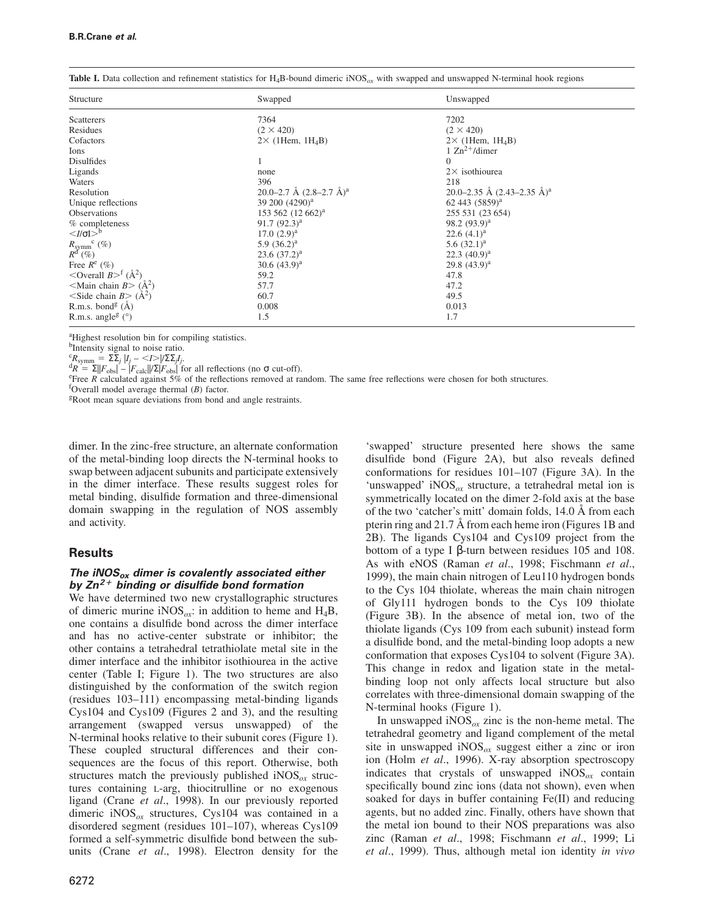| Structure                                                           | Swapped                              | Unswapped                             |  |  |  |
|---------------------------------------------------------------------|--------------------------------------|---------------------------------------|--|--|--|
| Scatterers                                                          | 7364                                 | 7202                                  |  |  |  |
| Residues                                                            | $(2 \times 420)$                     | $(2 \times 420)$                      |  |  |  |
| Cofactors                                                           | $2 \times$ (1Hem, 1H <sub>4</sub> B) | $2 \times$ (1Hem, 1H <sub>4</sub> B)  |  |  |  |
| Ions                                                                |                                      | 1 $\text{Zn}^2$ <sup>+</sup> /dimer   |  |  |  |
| Disulfides                                                          |                                      | $\Omega$                              |  |  |  |
| Ligands                                                             | none                                 | $2\times$ isothiourea                 |  |  |  |
| Waters                                                              | 396                                  | 218                                   |  |  |  |
| Resolution                                                          | 20.0–2.7 Å $(2.8-2.7 \text{ Å})^a$   | 20.0–2.35 Å $(2.43-2.35 \text{ Å})^a$ |  |  |  |
| Unique reflections                                                  | 39 200 (4290) <sup>a</sup>           | 62 443 (5859) <sup>a</sup>            |  |  |  |
| Observations                                                        | 153 562 (12 662) <sup>a</sup>        | 255 531 (23 654)                      |  |  |  |
| % completeness                                                      | 91.7 $(92.3)^a$                      | 98.2 $(93.9)^a$                       |  |  |  |
| $\langle I/\sigma I \rangle^b$                                      | $17.0~(2.9)^a$                       | 22.6 $(4.1)^a$                        |  |  |  |
|                                                                     | 5.9 $(36.2)^a$                       | 5.6 $(32.1)^a$                        |  |  |  |
| $R_{\text{symm}}^{\text{c}}\text{ }(\%)$ $R^{\text{d}}\text{ }(\%)$ | $23.6(37.2)^a$                       | $22.3 (40.9)^a$                       |  |  |  |
| Free $R^e$ (%)                                                      | $30.6 (43.9)^{a}$                    | $29.8(43.9)^a$                        |  |  |  |
| $\sim$ Overall $B > f(A^2)$                                         | 59.2                                 | 47.8                                  |  |  |  |
| $\leq$ Main chain B $>$ (Å <sup>2</sup> )                           | 57.7                                 | 47.2                                  |  |  |  |
| $\leq$ Side chain B $>$ ( $\AA$ <sup>2</sup> )                      | 60.7                                 | 49.5                                  |  |  |  |
| R.m.s. bond <sup>g</sup> $(A)$                                      | 0.008                                | 0.013                                 |  |  |  |
| R.m.s. angle <sup>g</sup> $(°)$                                     | 1.5                                  | 1.7                                   |  |  |  |

**Table I.** Data collection and refinement statistics for H4B-bound dimeric iNOS*ox* with swapped and unswapped N-terminal hook regions

<sup>a</sup>Highest resolution bin for compiling statistics.

<sup>b</sup>Intensity signal to noise ratio.

 ${}^{c}R_{\text{symm}} = \sum_{j}^{\infty} |I_{j} - \langle I \rangle|/\sum_{j} I_{j}.$ 

 $\frac{d}{R} = \Sigma |F_{\text{obs}}| - |F_{\text{calc}}| / \Sigma |F_{\text{obs}}|$  for all reflections (no  $\sigma$  cut-off).

<sup>e</sup>Free *R* calculated against 5% of the reflections removed at random. The same free reflections were chosen for both structures.

<sup>f</sup>Overall model average thermal (*B*) factor.

<sup>g</sup>Root mean square deviations from bond and angle restraints.

dimer. In the zinc-free structure, an alternate conformation of the metal-binding loop directs the N-terminal hooks to swap between adjacent subunits and participate extensively in the dimer interface. These results suggest roles for metal binding, disulfide formation and three-dimensional domain swapping in the regulation of NOS assembly and activity.

# **Results**

# **The iNOSox dimer is covalently associated either by Zn <sup>2</sup>**<sup>F</sup> **binding or disulfide bond formation**

We have determined two new crystallographic structures of dimeric murine iNOS<sub> $\alpha$ x</sub>: in addition to heme and H<sub>4</sub>B, one contains a disulfide bond across the dimer interface and has no active-center substrate or inhibitor; the other contains a tetrahedral tetrathiolate metal site in the dimer interface and the inhibitor isothiourea in the active center (Table I; Figure 1). The two structures are also distinguished by the conformation of the switch region (residues 103–111) encompassing metal-binding ligands Cys104 and Cys109 (Figures 2 and 3), and the resulting arrangement (swapped versus unswapped) of the N-terminal hooks relative to their subunit cores (Figure 1). These coupled structural differences and their consequences are the focus of this report. Otherwise, both structures match the previously published  $NOS_{ox}$  structures containing L-arg, thiocitrulline or no exogenous ligand (Crane *et al*., 1998). In our previously reported dimeric iNOS<sub> $\alpha$ x</sub> structures, Cys104 was contained in a disordered segment (residues 101–107), whereas Cys109 formed a self-symmetric disulfide bond between the subunits (Crane *et al*., 1998). Electron density for the

'swapped' structure presented here shows the same disulfide bond (Figure 2A), but also reveals defined conformations for residues 101–107 (Figure 3A). In the 'unswapped' iNOS*ox* structure, a tetrahedral metal ion is symmetrically located on the dimer 2-fold axis at the base of the two 'catcher's mitt' domain folds, 14.0 Å from each pterin ring and 21.7 Å from each heme iron (Figures 1B and 2B). The ligands Cys104 and Cys109 project from the bottom of a type I β-turn between residues 105 and 108. As with eNOS (Raman *et al*., 1998; Fischmann *et al*., 1999), the main chain nitrogen of Leu110 hydrogen bonds to the Cys 104 thiolate, whereas the main chain nitrogen of Gly111 hydrogen bonds to the Cys 109 thiolate (Figure 3B). In the absence of metal ion, two of the thiolate ligands (Cys 109 from each subunit) instead form a disulfide bond, and the metal-binding loop adopts a new conformation that exposes Cys104 to solvent (Figure 3A). This change in redox and ligation state in the metalbinding loop not only affects local structure but also correlates with three-dimensional domain swapping of the N-terminal hooks (Figure 1).

In unswapped  $\text{NOS}_{ox}$  zinc is the non-heme metal. The tetrahedral geometry and ligand complement of the metal site in unswapped iNOS $_{ox}$  suggest either a zinc or iron ion (Holm *et al*., 1996). X-ray absorption spectroscopy indicates that crystals of unswapped  $NOS_{ox}$  contain specifically bound zinc ions (data not shown), even when soaked for days in buffer containing Fe(II) and reducing agents, but no added zinc. Finally, others have shown that the metal ion bound to their NOS preparations was also zinc (Raman *et al*., 1998; Fischmann *et al*., 1999; Li *et al*., 1999). Thus, although metal ion identity *in vivo*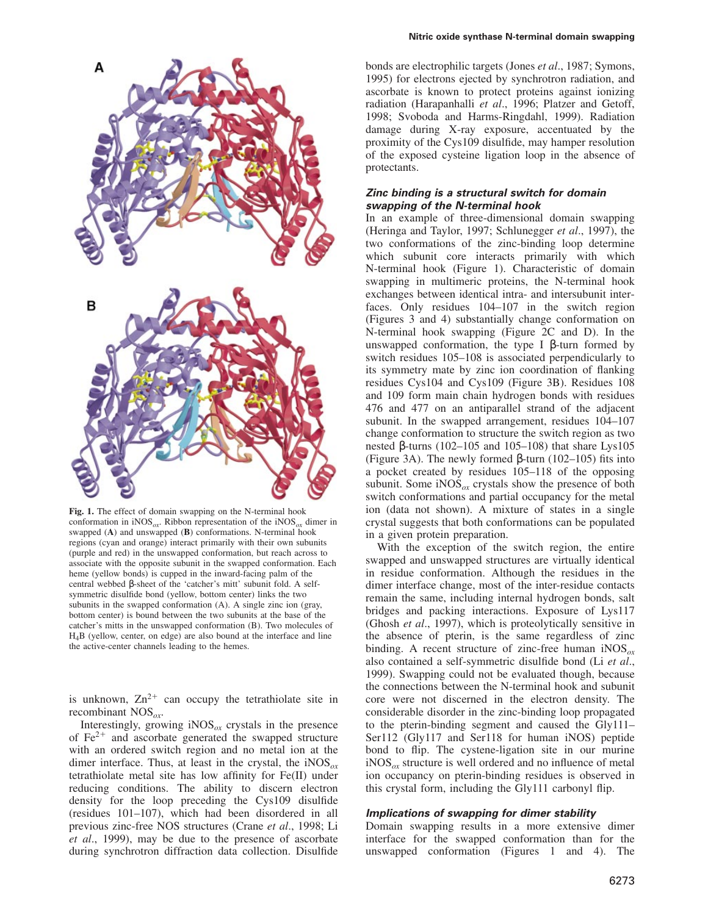

**Fig. 1.** The effect of domain swapping on the N-terminal hook conformation in  $iNOS_{ox}$ . Ribbon representation of the  $iNOS_{ox}$  dimer in swapped (**A**) and unswapped (**B**) conformations. N-terminal hook regions (cyan and orange) interact primarily with their own subunits (purple and red) in the unswapped conformation, but reach across to associate with the opposite subunit in the swapped conformation. Each heme (yellow bonds) is cupped in the inward-facing palm of the central webbed β-sheet of the 'catcher's mitt' subunit fold. A selfsymmetric disulfide bond (yellow, bottom center) links the two subunits in the swapped conformation (A). A single zinc ion (gray, bottom center) is bound between the two subunits at the base of the catcher's mitts in the unswapped conformation (B). Two molecules of H4B (yellow, center, on edge) are also bound at the interface and line the active-center channels leading to the hemes.

is unknown,  $Zn^{2+}$  can occupy the tetrathiolate site in recombinant NOS*ox*.

Interestingly, growing  $iNOS_{ox}$  crystals in the presence of  $Fe<sup>2+</sup>$  and ascorbate generated the swapped structure with an ordered switch region and no metal ion at the dimer interface. Thus, at least in the crystal, the iNOS*ox* tetrathiolate metal site has low affinity for Fe(II) under reducing conditions. The ability to discern electron density for the loop preceding the Cys109 disulfide (residues 101–107), which had been disordered in all previous zinc-free NOS structures (Crane *et al*., 1998; Li *et al*., 1999), may be due to the presence of ascorbate during synchrotron diffraction data collection. Disulfide bonds are electrophilic targets (Jones *et al*., 1987; Symons, 1995) for electrons ejected by synchrotron radiation, and ascorbate is known to protect proteins against ionizing radiation (Harapanhalli *et al*., 1996; Platzer and Getoff, 1998; Svoboda and Harms-Ringdahl, 1999). Radiation damage during X-ray exposure, accentuated by the proximity of the Cys109 disulfide, may hamper resolution of the exposed cysteine ligation loop in the absence of protectants.

## **Zinc binding is <sup>a</sup> structural switch for domain swapping of the N-terminal hook**

In an example of three-dimensional domain swapping (Heringa and Taylor, 1997; Schlunegger *et al*., 1997), the two conformations of the zinc-binding loop determine which subunit core interacts primarily with which N-terminal hook (Figure 1). Characteristic of domain swapping in multimeric proteins, the N-terminal hook exchanges between identical intra- and intersubunit interfaces. Only residues 104–107 in the switch region (Figures 3 and 4) substantially change conformation on N-terminal hook swapping (Figure 2C and D). In the unswapped conformation, the type I β-turn formed by switch residues 105–108 is associated perpendicularly to its symmetry mate by zinc ion coordination of flanking residues Cys104 and Cys109 (Figure 3B). Residues 108 and 109 form main chain hydrogen bonds with residues 476 and 477 on an antiparallel strand of the adjacent subunit. In the swapped arrangement, residues 104–107 change conformation to structure the switch region as two nested β-turns (102–105 and 105–108) that share Lys105 (Figure 3A). The newly formed β-turn (102–105) fits into a pocket created by residues 105–118 of the opposing subunit. Some  $iNOS_{ox}$  crystals show the presence of both switch conformations and partial occupancy for the metal ion (data not shown). A mixture of states in a single crystal suggests that both conformations can be populated in a given protein preparation.

With the exception of the switch region, the entire swapped and unswapped structures are virtually identical in residue conformation. Although the residues in the dimer interface change, most of the inter-residue contacts remain the same, including internal hydrogen bonds, salt bridges and packing interactions. Exposure of Lys117 (Ghosh *et al*., 1997), which is proteolytically sensitive in the absence of pterin, is the same regardless of zinc binding. A recent structure of zinc-free human iNOS*ox* also contained a self-symmetric disulfide bond (Li *et al*., 1999). Swapping could not be evaluated though, because the connections between the N-terminal hook and subunit core were not discerned in the electron density. The considerable disorder in the zinc-binding loop propagated to the pterin-binding segment and caused the Gly111– Ser112 (Gly117 and Ser118 for human iNOS) peptide bond to flip. The cystene-ligation site in our murine iNOS*ox* structure is well ordered and no influence of metal ion occupancy on pterin-binding residues is observed in this crystal form, including the Gly111 carbonyl flip.

#### **Implications of swapping for dimer stability**

Domain swapping results in a more extensive dimer interface for the swapped conformation than for the unswapped conformation (Figures 1 and 4). The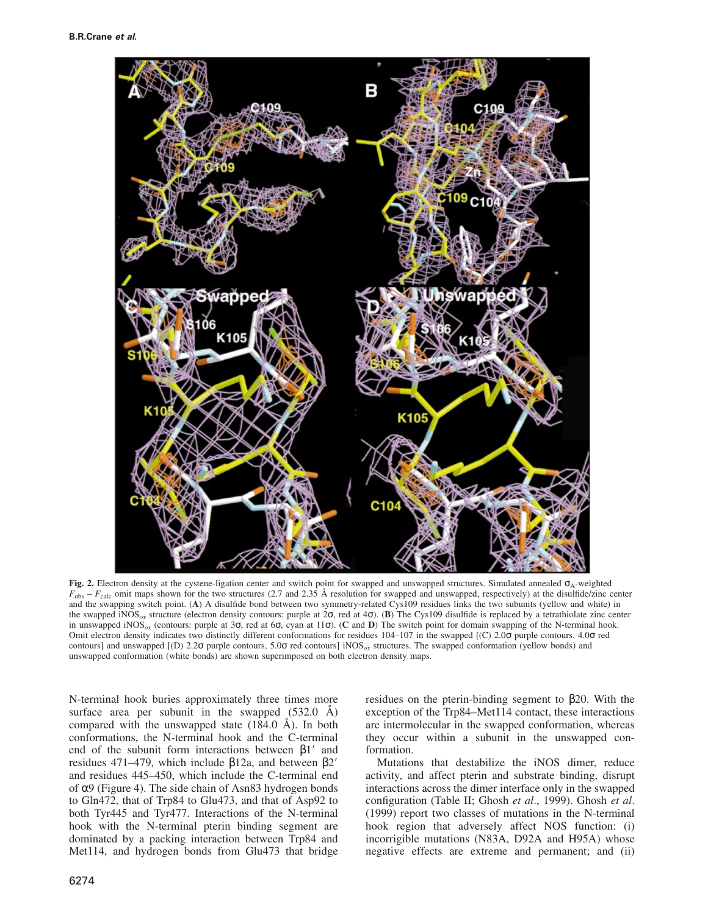

**Fig. 2.** Electron density at the cystene-ligation center and switch point for swapped and unswapped structures. Simulated annealed σA-weighted  $F_{\text{obs}} - F_{\text{calc}}$  omit maps shown for the two structures (2.7 and 2.35 Å resolution for swapped and unswapped, respectively) at the disulfide/zinc center and the swapping switch point. (**A**) A disulfide bond between two symmetry-related Cys109 residues links the two subunits (yellow and white) in the swapped iNOS*ox* structure (electron density contours: purple at 2σ, red at 4σ). (**B**) The Cys109 disulfide is replaced by a tetrathiolate zinc center in unswapped iNOS*ox* (contours: purple at 3σ, red at 6σ, cyan at 11σ). (**C** and **D**) The switch point for domain swapping of the N-terminal hook. Omit electron density indicates two distinctly different conformations for residues 104–107 in the swapped [(C) 2.0σ purple contours, 4.0σ red contours] and unswapped [(D) 2.2σ purple contours, 5.0σ red contours] iNOS*ox* structures. The swapped conformation (yellow bonds) and unswapped conformation (white bonds) are shown superimposed on both electron density maps.

N-terminal hook buries approximately three times more surface area per subunit in the swapped (532.0 Å) compared with the unswapped state (184.0 Å). In both conformations, the N-terminal hook and the C-terminal end of the subunit form interactions between  $\beta$ 1' and residues 471–479, which include  $β12a$ , and between  $β2'$ and residues 445–450, which include the C-terminal end of α9 (Figure 4). The side chain of Asn83 hydrogen bonds to Gln472, that of Trp84 to Glu473, and that of Asp92 to both Tyr445 and Tyr477. Interactions of the N-terminal hook with the N-terminal pterin binding segment are dominated by a packing interaction between Trp84 and Met114, and hydrogen bonds from Glu473 that bridge

residues on the pterin-binding segment to β20. With the exception of the Trp84–Met114 contact, these interactions are intermolecular in the swapped conformation, whereas they occur within a subunit in the unswapped conformation.

Mutations that destabilize the iNOS dimer, reduce activity, and affect pterin and substrate binding, disrupt interactions across the dimer interface only in the swapped configuration (Table II; Ghosh *et al*., 1999). Ghosh *et al*. (1999) report two classes of mutations in the N-terminal hook region that adversely affect NOS function: (i) incorrigible mutations (N83A, D92A and H95A) whose negative effects are extreme and permanent; and (ii)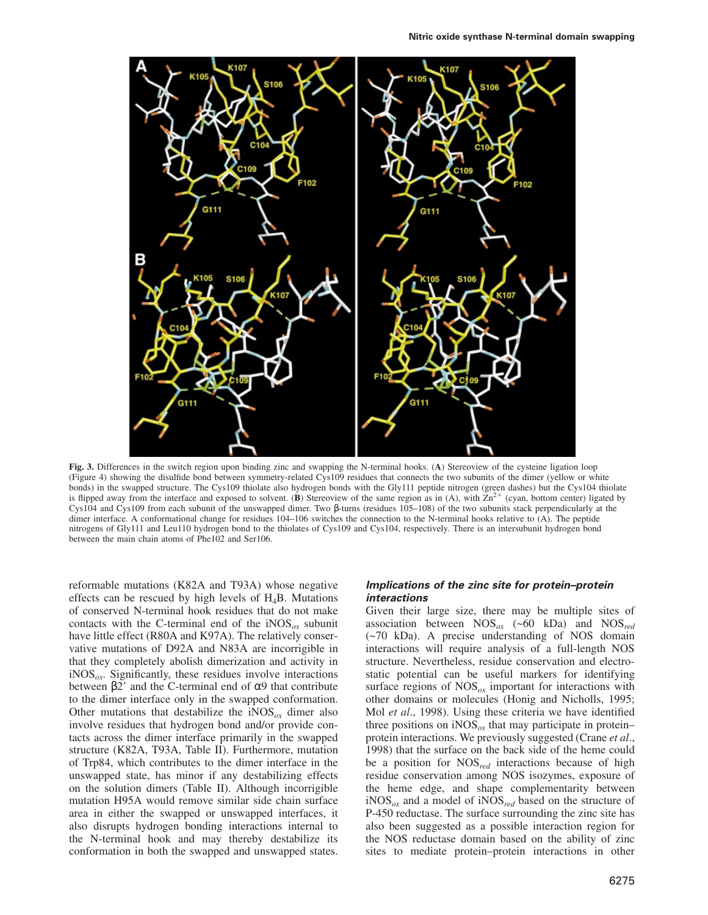

**Fig. 3.** Differences in the switch region upon binding zinc and swapping the N-terminal hooks. (**A**) Stereoview of the cysteine ligation loop (Figure 4) showing the disulfide bond between symmetry-related Cys109 residues that connects the two subunits of the dimer (yellow or white bonds) in the swapped structure. The Cys109 thiolate also hydrogen bonds with the Gly111 peptide nitrogen (green dashes) but the Cys104 thiolate is flipped away from the interface and exposed to solvent. (**B**) Stereoview of the same region as in (A), with  $\bar{Z}n^{2+}$  (cyan, bottom center) ligated by Cys104 and Cys109 from each subunit of the unswapped dimer. Two β-turns (residues 105–108) of the two subunits stack perpendicularly at the dimer interface. A conformational change for residues 104–106 switches the connection to the N-terminal hooks relative to (A). The peptide nitrogens of Gly111 and Leu110 hydrogen bond to the thiolates of Cys109 and Cys104, respectively. There is an intersubunit hydrogen bond between the main chain atoms of Phe102 and Ser106.

reformable mutations (K82A and T93A) whose negative effects can be rescued by high levels of  $H_4B$ . Mutations of conserved N-terminal hook residues that do not make contacts with the C-terminal end of the  $iNOS_{\alpha}$  subunit have little effect (R80A and K97A). The relatively conservative mutations of D92A and N83A are incorrigible in that they completely abolish dimerization and activity in iNOS*ox*. Significantly, these residues involve interactions between  $β2'$  and the C-terminal end of α9 that contribute to the dimer interface only in the swapped conformation. Other mutations that destabilize the  $iNOS_{ox}$  dimer also involve residues that hydrogen bond and/or provide contacts across the dimer interface primarily in the swapped structure (K82A, T93A, Table II). Furthermore, mutation of Trp84, which contributes to the dimer interface in the unswapped state, has minor if any destabilizing effects on the solution dimers (Table II). Although incorrigible mutation H95A would remove similar side chain surface area in either the swapped or unswapped interfaces, it also disrupts hydrogen bonding interactions internal to the N-terminal hook and may thereby destabilize its conformation in both the swapped and unswapped states.

## **Implications of the zinc site for protein–protein interactions**

Given their large size, there may be multiple sites of association between NOS*ox* (~60 kDa) and NOS*red* (~70 kDa). A precise understanding of NOS domain interactions will require analysis of a full-length NOS structure. Nevertheless, residue conservation and electrostatic potential can be useful markers for identifying surface regions of  $NOS_{ox}$  important for interactions with other domains or molecules (Honig and Nicholls, 1995; Mol *et al*., 1998). Using these criteria we have identified three positions on  $iNOS_{ox}$  that may participate in protein– protein interactions. We previously suggested (Crane *et al*., 1998) that the surface on the back side of the heme could be a position for NOS*red* interactions because of high residue conservation among NOS isozymes, exposure of the heme edge, and shape complementarity between iNOS*ox* and a model of iNOS*red* based on the structure of P-450 reductase. The surface surrounding the zinc site has also been suggested as a possible interaction region for the NOS reductase domain based on the ability of zinc sites to mediate protein–protein interactions in other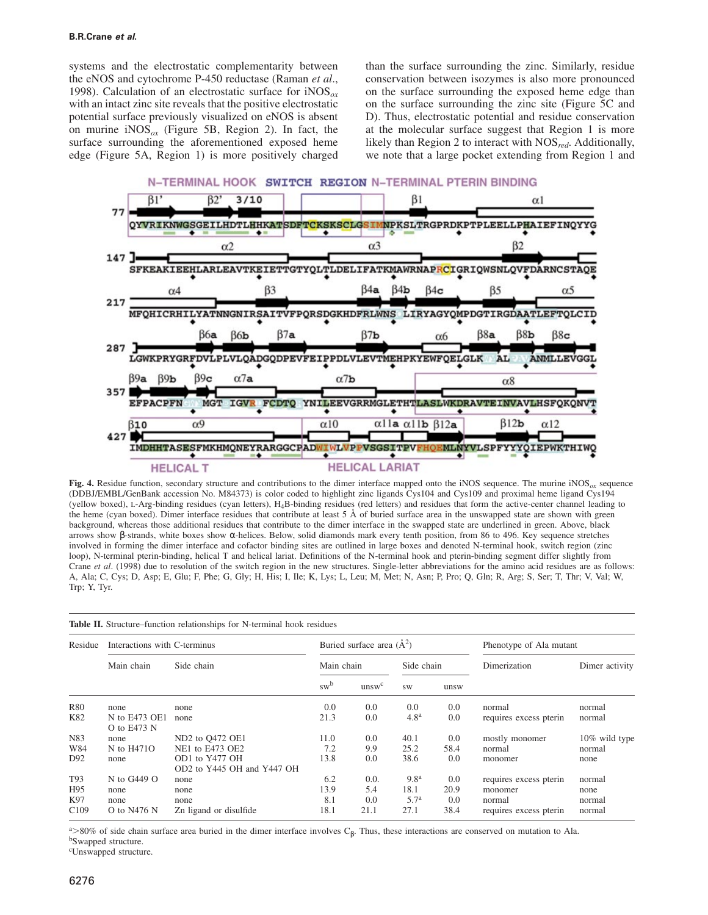systems and the electrostatic complementarity between the eNOS and cytochrome P-450 reductase (Raman *et al*., 1998). Calculation of an electrostatic surface for iNOS*ox* with an intact zinc site reveals that the positive electrostatic potential surface previously visualized on eNOS is absent on murine iNOS*ox* (Figure 5B, Region 2). In fact, the surface surrounding the aforementioned exposed heme edge (Figure 5A, Region 1) is more positively charged than the surface surrounding the zinc. Similarly, residue conservation between isozymes is also more pronounced on the surface surrounding the exposed heme edge than on the surface surrounding the zinc site (Figure 5C and D). Thus, electrostatic potential and residue conservation at the molecular surface suggest that Region 1 is more likely than Region 2 to interact with NOS*red*. Additionally, we note that a large pocket extending from Region 1 and



**Fig. 4.** Residue function, secondary structure and contributions to the dimer interface mapped onto the iNOS sequence. The murine iNOS*ox* sequence (DDBJ/EMBL/GenBank accession No. M84373) is color coded to highlight zinc ligands Cys104 and Cys109 and proximal heme ligand Cys194 (yellow boxed), L-Arg-binding residues (cyan letters),  $H_4B$ -binding residues (red letters) and residues that form the active-center channel leading to the heme (cyan boxed). Dimer interface residues that contribute at least 5 Å of buried surface area in the unswapped state are shown with green background, whereas those additional residues that contribute to the dimer interface in the swapped state are underlined in green. Above, black arrows show β-strands, white boxes show α-helices. Below, solid diamonds mark every tenth position, from 86 to 496. Key sequence stretches involved in forming the dimer interface and cofactor binding sites are outlined in large boxes and denoted N-terminal hook, switch region (zinc loop), N-terminal pterin-binding, helical T and helical lariat. Definitions of the N-terminal hook and pterin-binding segment differ slightly from Crane *et al*. (1998) due to resolution of the switch region in the new structures. Single-letter abbreviations for the amino acid residues are as follows: A, Ala; C, Cys; D, Asp; E, Glu; F, Phe; G, Gly; H, His; I, Ile; K, Lys; L, Leu; M, Met; N, Asn; P, Pro; Q, Gln; R, Arg; S, Ser; T, Thr; V, Val; W, Trp; Y, Tyr.

| <b>Table II.</b> Structure–function relationships for N-terminal hook residues |                              |                                              |                               |                   |                  |      |                         |                |  |  |  |
|--------------------------------------------------------------------------------|------------------------------|----------------------------------------------|-------------------------------|-------------------|------------------|------|-------------------------|----------------|--|--|--|
| Residue                                                                        | Interactions with C-terminus |                                              | Buried surface area $(\AA^2)$ |                   |                  |      | Phenotype of Ala mutant |                |  |  |  |
|                                                                                | Main chain                   | Side chain                                   | Main chain                    |                   | Side chain       |      | Dimerization            | Dimer activity |  |  |  |
|                                                                                |                              |                                              | sw <sup>b</sup>               | unsw <sup>c</sup> | <b>SW</b>        | unsw |                         |                |  |  |  |
| <b>R80</b>                                                                     | none                         | none                                         | 0.0                           | 0.0               | 0.0              | 0.0  | normal                  | normal         |  |  |  |
| K82                                                                            | N to E473 OE1<br>O to E473 N | none                                         | 21.3                          | 0.0               | 4.8 <sup>a</sup> | 0.0  | requires excess pterin  | normal         |  |  |  |
| N83                                                                            | none                         | ND2 to Q472 OE1                              | 11.0                          | 0.0               | 40.1             | 0.0  | mostly monomer          | 10% wild type  |  |  |  |
| W84                                                                            | N to H4710                   | NE1 to E473 OE2                              | 7.2                           | 9.9               | 25.2             | 58.4 | normal                  | normal         |  |  |  |
| D92                                                                            | none                         | OD1 to Y477 OH<br>OD2 to Y445 OH and Y447 OH | 13.8                          | 0.0               | 38.6             | 0.0  | monomer                 | none           |  |  |  |
| T93                                                                            | N to G449 $O$                | none                                         | 6.2                           | 0.0.              | 9.8 <sup>a</sup> | 0.0  | requires excess pterin  | normal         |  |  |  |
| H95                                                                            | none                         | none                                         | 13.9                          | 5.4               | 18.1             | 20.9 | monomer                 | none           |  |  |  |
| K97                                                                            | none                         | none                                         | 8.1                           | 0.0               | 5.7 <sup>a</sup> | 0.0  | normal                  | normal         |  |  |  |
| C <sub>109</sub>                                                               | O to $N476$ N                | Zn ligand or disulfide                       | 18.1                          | 21.1              | 27.1             | 38.4 | requires excess pterin  | normal         |  |  |  |

 $\frac{a}{\beta}$  S0% of side chain surface area buried in the dimer interface involves C<sub>β</sub>. Thus, these interactions are conserved on mutation to Ala. bSwapped structure.

<sup>c</sup>Unswapped structure.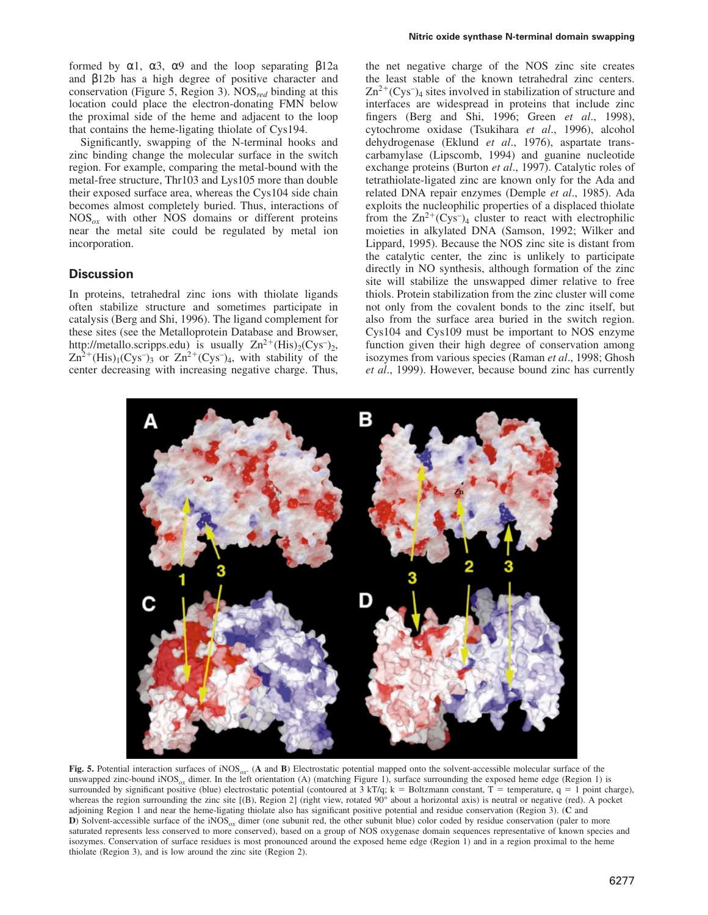formed by α1, α3, α9 and the loop separating β12a and β12b has a high degree of positive character and conservation (Figure 5, Region 3). NOS*red* binding at this location could place the electron-donating FMN below the proximal side of the heme and adjacent to the loop that contains the heme-ligating thiolate of Cys194.

Significantly, swapping of the N-terminal hooks and zinc binding change the molecular surface in the switch region. For example, comparing the metal-bound with the metal-free structure, Thr103 and Lys105 more than double their exposed surface area, whereas the Cys104 side chain becomes almost completely buried. Thus, interactions of NOS*ox* with other NOS domains or different proteins near the metal site could be regulated by metal ion incorporation.

## **Discussion**

In proteins, tetrahedral zinc ions with thiolate ligands often stabilize structure and sometimes participate in catalysis (Berg and Shi, 1996). The ligand complement for these sites (see the Metalloprotein Database and Browser, http://metallo.scripps.edu) is usually  $Zn^{2+}$ (His)<sub>2</sub>(Cys<sup>-</sup>)<sub>2</sub>,  $\text{Zn}^2$ <sup>+</sup>(His)<sub>1</sub>(Cys<sup>-</sup>)<sub>3</sub> or  $\text{Zn}^2$ <sup>+</sup>(Cys<sup>-</sup>)<sub>4</sub>, with stability of the center decreasing with increasing negative charge. Thus, the net negative charge of the NOS zinc site creates the least stable of the known tetrahedral zinc centers.  $\text{Zn}^{2+}(\text{Cys}^-)_4$  sites involved in stabilization of structure and interfaces are widespread in proteins that include zinc fingers (Berg and Shi, 1996; Green *et al*., 1998), cytochrome oxidase (Tsukihara *et al*., 1996), alcohol dehydrogenase (Eklund *et al*., 1976), aspartate transcarbamylase (Lipscomb, 1994) and guanine nucleotide exchange proteins (Burton *et al*., 1997). Catalytic roles of tetrathiolate-ligated zinc are known only for the Ada and related DNA repair enzymes (Demple *et al*., 1985). Ada exploits the nucleophilic properties of a displaced thiolate from the  $\text{Zn}^{2+}(\text{Cys})_4$  cluster to react with electrophilic moieties in alkylated DNA (Samson, 1992; Wilker and Lippard, 1995). Because the NOS zinc site is distant from the catalytic center, the zinc is unlikely to participate directly in NO synthesis, although formation of the zinc site will stabilize the unswapped dimer relative to free thiols. Protein stabilization from the zinc cluster will come not only from the covalent bonds to the zinc itself, but also from the surface area buried in the switch region. Cys104 and Cys109 must be important to NOS enzyme function given their high degree of conservation among isozymes from various species (Raman *et al*., 1998; Ghosh *et al*., 1999). However, because bound zinc has currently



**Fig. 5.** Potential interaction surfaces of iNOS*ox*. (**A** and **B**) Electrostatic potential mapped onto the solvent-accessible molecular surface of the unswapped zinc-bound iNOS<sub>ox</sub> dimer. In the left orientation (A) (matching Figure 1), surface surrounding the exposed heme edge (Region 1) is surrounded by significant positive (blue) electrostatic potential (contoured at  $3 kT/q$ ; k = Boltzmann constant, T = temperature, q = 1 point charge), whereas the region surrounding the zinc site [(B), Region 2] (right view, rotated 90° about a horizontal axis) is neutral or negative (red). A pocket adjoining Region 1 and near the heme-ligating thiolate also has significant positive potential and residue conservation (Region 3). (**C** and **D**) Solvent-accessible surface of the iNOS<sub> $ox$ </sub> dimer (one subunit red, the other subunit blue) color coded by residue conservation (paler to more saturated represents less conserved to more conserved), based on a group of NOS oxygenase domain sequences representative of known species and isozymes. Conservation of surface residues is most pronounced around the exposed heme edge (Region 1) and in a region proximal to the heme thiolate (Region 3), and is low around the zinc site (Region 2).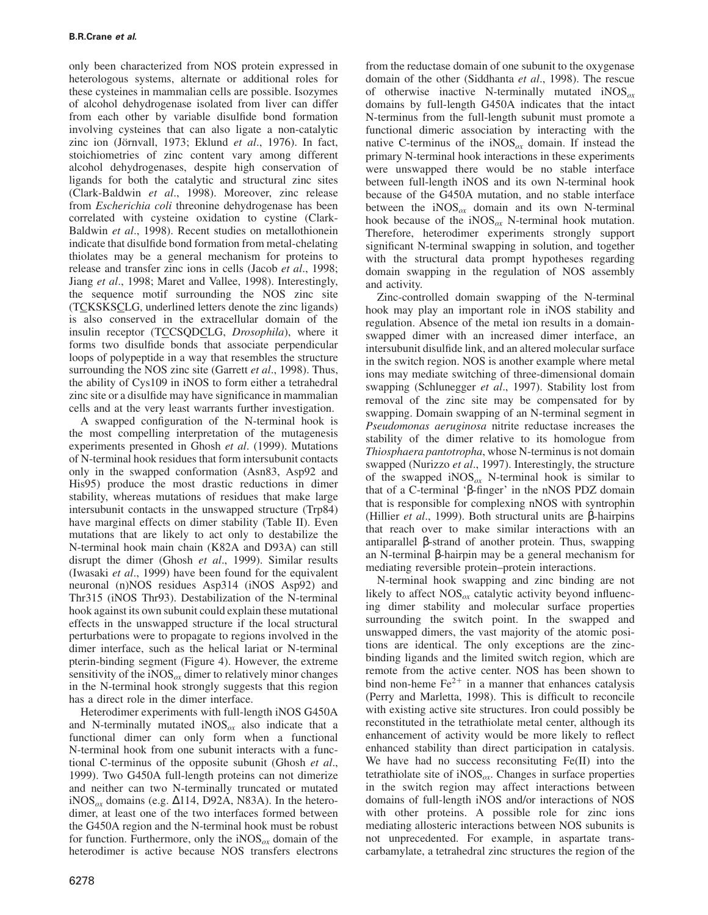only been characterized from NOS protein expressed in heterologous systems, alternate or additional roles for these cysteines in mammalian cells are possible. Isozymes of alcohol dehydrogenase isolated from liver can differ from each other by variable disulfide bond formation involving cysteines that can also ligate a non-catalytic zinc ion (Jörnvall, 1973; Eklund et al., 1976). In fact, stoichiometries of zinc content vary among different alcohol dehydrogenases, despite high conservation of ligands for both the catalytic and structural zinc sites (Clark-Baldwin *et al*., 1998). Moreover, zinc release from *Escherichia coli* threonine dehydrogenase has been correlated with cysteine oxidation to cystine (Clark-Baldwin *et al*., 1998). Recent studies on metallothionein indicate that disulfide bond formation from metal-chelating thiolates may be a general mechanism for proteins to release and transfer zinc ions in cells (Jacob *et al*., 1998; Jiang *et al*., 1998; Maret and Vallee, 1998). Interestingly, the sequence motif surrounding the NOS zinc site (TCKSKSCLG, underlined letters denote the zinc ligands) is also conserved in the extracellular domain of the insulin receptor (TCCSQDCLG, *Drosophila*), where it forms two disulfide bonds that associate perpendicular loops of polypeptide in a way that resembles the structure surrounding the NOS zinc site (Garrett *et al*., 1998). Thus, the ability of Cys109 in iNOS to form either a tetrahedral zinc site or a disulfide may have significance in mammalian cells and at the very least warrants further investigation.

A swapped configuration of the N-terminal hook is the most compelling interpretation of the mutagenesis experiments presented in Ghosh *et al*. (1999). Mutations of N-terminal hook residues that form intersubunit contacts only in the swapped conformation (Asn83, Asp92 and His95) produce the most drastic reductions in dimer stability, whereas mutations of residues that make large intersubunit contacts in the unswapped structure (Trp84) have marginal effects on dimer stability (Table II). Even mutations that are likely to act only to destabilize the N-terminal hook main chain (K82A and D93A) can still disrupt the dimer (Ghosh *et al*., 1999). Similar results (Iwasaki *et al*., 1999) have been found for the equivalent neuronal (n)NOS residues Asp314 (iNOS Asp92) and Thr315 (iNOS Thr93). Destabilization of the N-terminal hook against its own subunit could explain these mutational effects in the unswapped structure if the local structural perturbations were to propagate to regions involved in the dimer interface, such as the helical lariat or N-terminal pterin-binding segment (Figure 4). However, the extreme sensitivity of the iNOS $_{ox}$  dimer to relatively minor changes in the N-terminal hook strongly suggests that this region has a direct role in the dimer interface.

Heterodimer experiments with full-length iNOS G450A and N-terminally mutated iNOS*ox* also indicate that a functional dimer can only form when a functional N-terminal hook from one subunit interacts with a functional C-terminus of the opposite subunit (Ghosh *et al*., 1999). Two G450A full-length proteins can not dimerize and neither can two N-terminally truncated or mutated iNOS*ox* domains (e.g. ∆114, D92A, N83A). In the heterodimer, at least one of the two interfaces formed between the G450A region and the N-terminal hook must be robust for function. Furthermore, only the iNOS*ox* domain of the heterodimer is active because NOS transfers electrons

from the reductase domain of one subunit to the oxygenase domain of the other (Siddhanta *et al*., 1998). The rescue of otherwise inactive N-terminally mutated iNOS*ox* domains by full-length G450A indicates that the intact N-terminus from the full-length subunit must promote a functional dimeric association by interacting with the native C-terminus of the  $iNOS_{\alpha x}$  domain. If instead the primary N-terminal hook interactions in these experiments were unswapped there would be no stable interface between full-length iNOS and its own N-terminal hook because of the G450A mutation, and no stable interface between the  $iNOS_{ox}$  domain and its own N-terminal hook because of the iNOS*ox* N-terminal hook mutation. Therefore, heterodimer experiments strongly support significant N-terminal swapping in solution, and together with the structural data prompt hypotheses regarding domain swapping in the regulation of NOS assembly and activity.

Zinc-controlled domain swapping of the N-terminal hook may play an important role in iNOS stability and regulation. Absence of the metal ion results in a domainswapped dimer with an increased dimer interface, an intersubunit disulfide link, and an altered molecular surface in the switch region. NOS is another example where metal ions may mediate switching of three-dimensional domain swapping (Schlunegger *et al*., 1997). Stability lost from removal of the zinc site may be compensated for by swapping. Domain swapping of an N-terminal segment in *Pseudomonas aeruginosa* nitrite reductase increases the stability of the dimer relative to its homologue from *Thiosphaera pantotropha*, whose N-terminus is not domain swapped (Nurizzo *et al*., 1997). Interestingly, the structure of the swapped iNOS*ox* N-terminal hook is similar to that of a C-terminal 'β-finger' in the nNOS PDZ domain that is responsible for complexing nNOS with syntrophin (Hillier *et al*., 1999). Both structural units are β-hairpins that reach over to make similar interactions with an antiparallel β-strand of another protein. Thus, swapping an N-terminal β-hairpin may be a general mechanism for mediating reversible protein–protein interactions.

N-terminal hook swapping and zinc binding are not likely to affect NOS<sub>*ox*</sub> catalytic activity beyond influencing dimer stability and molecular surface properties surrounding the switch point. In the swapped and unswapped dimers, the vast majority of the atomic positions are identical. The only exceptions are the zincbinding ligands and the limited switch region, which are remote from the active center. NOS has been shown to bind non-heme  $Fe<sup>2+</sup>$  in a manner that enhances catalysis (Perry and Marletta, 1998). This is difficult to reconcile with existing active site structures. Iron could possibly be reconstituted in the tetrathiolate metal center, although its enhancement of activity would be more likely to reflect enhanced stability than direct participation in catalysis. We have had no success reconsituting Fe(II) into the tetrathiolate site of iNOS*ox*. Changes in surface properties in the switch region may affect interactions between domains of full-length iNOS and/or interactions of NOS with other proteins. A possible role for zinc ions mediating allosteric interactions between NOS subunits is not unprecedented. For example, in aspartate transcarbamylate, a tetrahedral zinc structures the region of the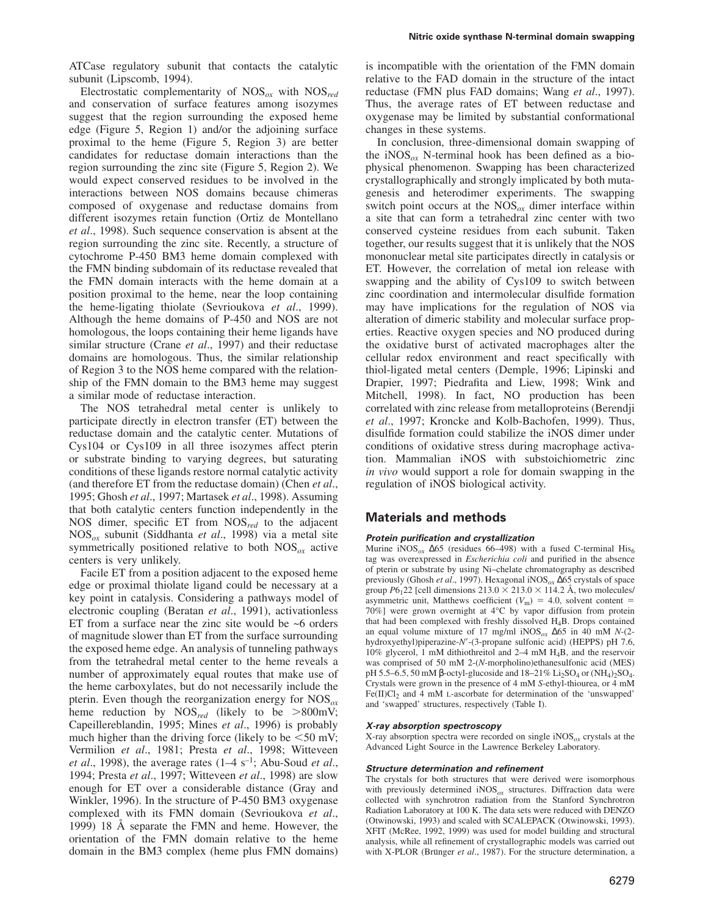ATCase regulatory subunit that contacts the catalytic subunit (Lipscomb, 1994).

Electrostatic complementarity of NOS*ox* with NOS*red* and conservation of surface features among isozymes suggest that the region surrounding the exposed heme edge (Figure 5, Region 1) and/or the adjoining surface proximal to the heme (Figure 5, Region 3) are better candidates for reductase domain interactions than the region surrounding the zinc site (Figure 5, Region 2). We would expect conserved residues to be involved in the interactions between NOS domains because chimeras composed of oxygenase and reductase domains from different isozymes retain function (Ortiz de Montellano *et al*., 1998). Such sequence conservation is absent at the region surrounding the zinc site. Recently, a structure of cytochrome P-450 BM3 heme domain complexed with the FMN binding subdomain of its reductase revealed that the FMN domain interacts with the heme domain at a position proximal to the heme, near the loop containing the heme-ligating thiolate (Sevrioukova *et al*., 1999). Although the heme domains of P-450 and NOS are not homologous, the loops containing their heme ligands have similar structure (Crane *et al*., 1997) and their reductase domains are homologous. Thus, the similar relationship of Region 3 to the NOS heme compared with the relationship of the FMN domain to the BM3 heme may suggest a similar mode of reductase interaction.

The NOS tetrahedral metal center is unlikely to participate directly in electron transfer (ET) between the reductase domain and the catalytic center. Mutations of Cys104 or Cys109 in all three isozymes affect pterin or substrate binding to varying degrees, but saturating conditions of these ligands restore normal catalytic activity (and therefore ET from the reductase domain) (Chen *et al*., 1995; Ghosh *et al*., 1997; Martasek *et al*., 1998). Assuming that both catalytic centers function independently in the NOS dimer, specific ET from NOS*red* to the adjacent NOS*ox* subunit (Siddhanta *et al*., 1998) via a metal site symmetrically positioned relative to both NOS*ox* active centers is very unlikely.

Facile ET from a position adjacent to the exposed heme edge or proximal thiolate ligand could be necessary at a key point in catalysis. Considering a pathways model of electronic coupling (Beratan *et al*., 1991), activationless ET from a surface near the zinc site would be ~6 orders of magnitude slower than ET from the surface surrounding the exposed heme edge. An analysis of tunneling pathways from the tetrahedral metal center to the heme reveals a number of approximately equal routes that make use of the heme carboxylates, but do not necessarily include the pterin. Even though the reorganization energy for NOS*ox* heme reduction by  $NOS_{red}$  (likely to be  $>800$ mV; Capeillereblandin, 1995; Mines *et al*., 1996) is probably much higher than the driving force (likely to be  $\leq 50$  mV; Vermilion *et al*., 1981; Presta *et al*., 1998; Witteveen *et al*., 1998), the average rates (1–4 s–1; Abu-Soud *et al*., 1994; Presta *et al*., 1997; Witteveen *et al*., 1998) are slow enough for ET over a considerable distance (Gray and Winkler, 1996). In the structure of P-450 BM3 oxygenase complexed with its FMN domain (Sevrioukova *et al*., 1999) 18 Å separate the FMN and heme. However, the orientation of the FMN domain relative to the heme domain in the BM3 complex (heme plus FMN domains)

is incompatible with the orientation of the FMN domain relative to the FAD domain in the structure of the intact reductase (FMN plus FAD domains; Wang *et al*., 1997). Thus, the average rates of ET between reductase and oxygenase may be limited by substantial conformational changes in these systems.

In conclusion, three-dimensional domain swapping of the iNOS<sub> $\alpha$ x</sub> N-terminal hook has been defined as a biophysical phenomenon. Swapping has been characterized crystallographically and strongly implicated by both mutagenesis and heterodimer experiments. The swapping switch point occurs at the NOS*ox* dimer interface within a site that can form a tetrahedral zinc center with two conserved cysteine residues from each subunit. Taken together, our results suggest that it is unlikely that the NOS mononuclear metal site participates directly in catalysis or ET. However, the correlation of metal ion release with swapping and the ability of Cys109 to switch between zinc coordination and intermolecular disulfide formation may have implications for the regulation of NOS via alteration of dimeric stability and molecular surface properties. Reactive oxygen species and NO produced during the oxidative burst of activated macrophages alter the cellular redox environment and react specifically with thiol-ligated metal centers (Demple, 1996; Lipinski and Drapier, 1997; Piedrafita and Liew, 1998; Wink and Mitchell, 1998). In fact, NO production has been correlated with zinc release from metalloproteins (Berendji *et al*., 1997; Kroncke and Kolb-Bachofen, 1999). Thus, disulfide formation could stabilize the iNOS dimer under conditions of oxidative stress during macrophage activation. Mammalian iNOS with substoichiometric zinc *in vivo* would support a role for domain swapping in the regulation of iNOS biological activity.

## **Materials and methods**

#### **Protein purification and crystallization**

Murine iNOS<sub>*ox*</sub> Δ65 (residues 66–498) with a fused C-terminal His<sub>6</sub> tag was overexpressed in *Escherichia coli* and purified in the absence of pterin or substrate by using Ni–chelate chromatography as described previously (Ghosh *et al*., 1997). Hexagonal iNOS*ox* ∆65 crystals of space group  $P6_122$  [cell dimensions  $213.0 \times 213.0 \times 114.2$  Å, two molecules/ asymmetric unit, Matthews coefficient ( $V<sub>m</sub>$ ) = 4.0, solvent content = 70%] were grown overnight at 4°C by vapor diffusion from protein that had been complexed with freshly dissolved H4B. Drops contained an equal volume mixture of 17 mg/ml iNOS*ox* ∆65 in 40 mM *N-*(2 hydroxyethyl)piperazine- $N'$ -(3-propane sulfonic acid) (HEPPS) pH 7.6, 10% glycerol, 1 mM dithiothreitol and 2–4 mM H4B, and the reservoir was comprised of 50 mM 2-(*N-*morpholino)ethanesulfonic acid (MES) pH 5.5–6.5, 50 mM β-octyl-glucoside and  $18-21\%$  Li<sub>2</sub>SO<sub>4</sub> or (NH<sub>4</sub>)<sub>2</sub>SO<sub>4</sub>. Crystals were grown in the presence of 4 mM *S*-ethyl-thiourea, or 4 mM Fe(II)Cl<sub>2</sub> and 4 mM L-ascorbate for determination of the 'unswapped' and 'swapped' structures, respectively (Table I).

#### **X-ray absorption spectroscopy**

X-ray absorption spectra were recorded on single iNOS*ox* crystals at the Advanced Light Source in the Lawrence Berkeley Laboratory.

#### **Structure determination and refinement**

The crystals for both structures that were derived were isomorphous with previously determined iNOS<sub>ox</sub> structures. Diffraction data were collected with synchrotron radiation from the Stanford Synchrotron Radiation Laboratory at 100 K. The data sets were reduced with DENZO (Otwinowski, 1993) and scaled with SCALEPACK (Otwinowski, 1993). XFIT (McRee, 1992, 1999) was used for model building and structural analysis, while all refinement of crystallographic models was carried out with X-PLOR (Brünger et al., 1987). For the structure determination, a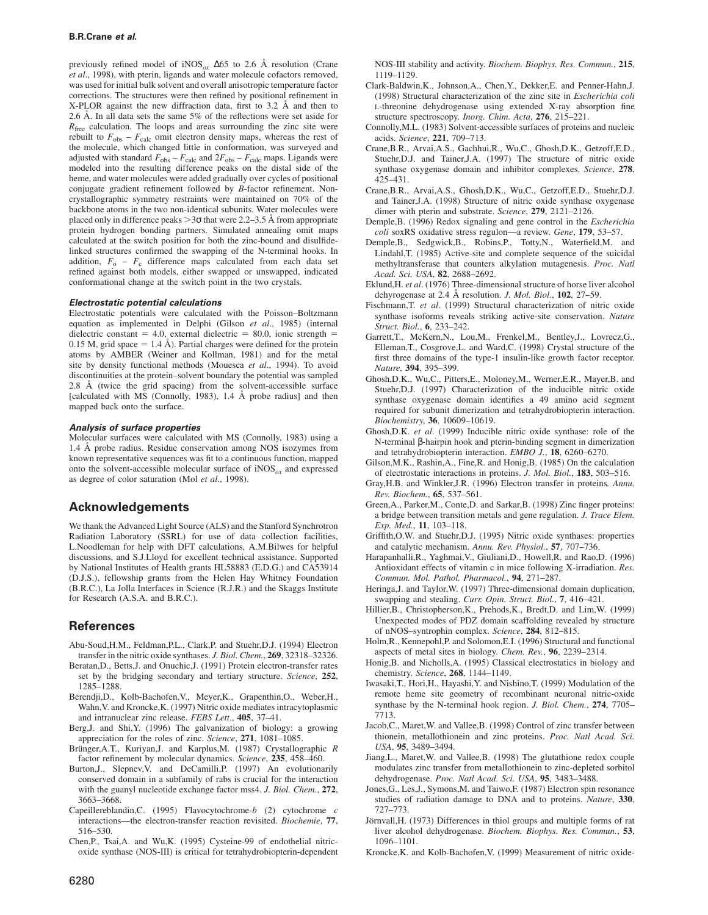previously refined model of iNOS*ox* ∆65 to 2.6 Å resolution (Crane *et al*., 1998), with pterin, ligands and water molecule cofactors removed, was used for initial bulk solvent and overall anisotropic temperature factor corrections. The structures were then refined by positional refinement in X-PLOR against the new diffraction data, first to 3.2 Å and then to 2.6 Å. In all data sets the same 5% of the reflections were set aside for *R*<sub>free</sub> calculation. The loops and areas surrounding the zinc site were rebuilt to  $F_{obs} - F_{calc}$  omit electron density maps, whereas the rest of the molecule, which changed little in conformation, was surveyed and adjusted with standard  $F_{\text{obs}} - F_{\text{calc}}$  and  $2F_{\text{obs}} - F_{\text{calc}}$  maps. Ligands were modeled into the resulting difference peaks on the distal side of the heme, and water molecules were added gradually over cycles of positional conjugate gradient refinement followed by *B*-factor refinement. Noncrystallographic symmetry restraints were maintained on 70% of the backbone atoms in the two non-identical subunits. Water molecules were placed only in difference peaks  $>3\sigma$  that were 2.2–3.5 Å from appropriate protein hydrogen bonding partners. Simulated annealing omit maps calculated at the switch position for both the zinc-bound and disulfidelinked structures confirmed the swapping of the N-terminal hooks. In addition,  $F_0 - F_c$  difference maps calculated from each data set refined against both models, either swapped or unswapped, indicated conformational change at the switch point in the two crystals.

#### **Electrostatic potential calculations**

Electrostatic potentials were calculated with the Poisson–Boltzmann equation as implemented in Delphi (Gilson *et al*., 1985) (internal dielectric constant = 4.0, external dielectric = 80.0, ionic strength = 0.15 M, grid space = 1.4 Å). Partial charges were defined for the protein atoms by AMBER (Weiner and Kollman, 1981) and for the metal site by density functional methods (Mouesca *et al*., 1994). To avoid discontinuities at the protein–solvent boundary the potential was sampled 2.8 Å (twice the grid spacing) from the solvent-accessible surface [calculated with MS (Connolly, 1983), 1.4 Å probe radius] and then mapped back onto the surface.

#### **Analysis of surface properties**

Molecular surfaces were calculated with MS (Connolly, 1983) using a 1.4 Å probe radius. Residue conservation among NOS isozymes from known representative sequences was fit to a continuous function, mapped onto the solvent-accessible molecular surface of  $iNOS_{ox}$  and expressed as degree of color saturation (Mol *et al*., 1998).

## **Acknowledgements**

We thank the Advanced Light Source (ALS) and the Stanford Synchrotron Radiation Laboratory (SSRL) for use of data collection facilities, L.Noodleman for help with DFT calculations, A.M.Bilwes for helpful discussions, and S.J.Lloyd for excellent technical assistance. Supported by National Institutes of Health grants HL58883 (E.D.G.) and CA53914 (D.J.S.), fellowship grants from the Helen Hay Whitney Foundation (B.R.C.), La Jolla Interfaces in Science (R.J.R.) and the Skaggs Institute for Research (A.S.A. and B.R.C.).

#### **References**

- Abu-Soud,H.M., Feldman,P.L., Clark,P. and Stuehr,D.J. (1994) Electron transfer in the nitric oxide synthases. *J. Biol. Chem.*, **269**, 32318–32326.
- Beratan,D., Betts,J. and Onuchic,J. (1991) Protein electron-transfer rates set by the bridging secondary and tertiary structure. *Science*, **252**, 1285–1288.
- Berendji,D., Kolb-Bachofen,V., Meyer,K., Grapenthin,O., Weber,H., Wahn,V. and Kroncke,K. (1997) Nitric oxide mediates intracytoplasmic and intranuclear zinc release. *FEBS Lett*., **405**, 37–41.
- Berg,J. and Shi,Y. (1996) The galvanization of biology: a growing appreciation for the roles of zinc. *Science*, **271**, 1081–1085.
- Brünger, A.T., Kuriyan, J. and Karplus, M. (1987) Crystallographic *R* factor refinement by molecular dynamics. *Science*, **235**, 458–460.
- Burton,J., Slepnev,V. and DeCamilli,P. (1997) An evolutionarily conserved domain in a subfamily of rabs is crucial for the interaction with the guanyl nucleotide exchange factor mss4. *J. Biol. Chem.*, **272**, 3663–3668.
- Capeillereblandin,C. (1995) Flavocytochrome-*b* (2) cytochrome *c* interactions—the electron-transfer reaction revisited. *Biochemie*, **77**, 516–530.
- Chen,P., Tsai,A. and Wu,K. (1995) Cysteine-99 of endothelial nitricoxide synthase (NOS-III) is critical for tetrahydrobiopterin-dependent

NOS-III stability and activity. *Biochem. Biophys. Res. Commun.*, **215**, 1119–1129.

- Clark-Baldwin,K., Johnson,A., Chen,Y., Dekker,E. and Penner-Hahn,J. (1998) Structural characterization of the zinc site in *Escherichia coli* L-threonine dehydrogenase using extended X-ray absorption fine structure spectroscopy. *Inorg. Chim. Acta*, **276**, 215–221.
- Connolly,M.L. (1983) Solvent-accessible surfaces of proteins and nucleic acids. *Science*, **221**, 709–713.
- Crane,B.R., Arvai,A.S., Gachhui,R., Wu,C., Ghosh,D.K., Getzoff,E.D., Stuehr,D.J. and Tainer,J.A. (1997) The structure of nitric oxide synthase oxygenase domain and inhibitor complexes. *Science*, **278**, 425–431.
- Crane,B.R., Arvai,A.S., Ghosh,D.K., Wu,C., Getzoff,E.D., Stuehr,D.J. and Tainer,J.A. (1998) Structure of nitric oxide synthase oxygenase dimer with pterin and substrate. *Science*, **279**, 2121–2126.
- Demple,B. (1996) Redox signaling and gene control in the *Escherichia coli* soxRS oxidative stress regulon—a review. *Gene*, **179**, 53–57.
- Demple,B., Sedgwick,B., Robins,P., Totty,N., Waterfield,M. and Lindahl,T. (1985) Active-site and complete sequence of the suicidal methyltransferase that counters alkylation mutagenesis. *Proc. Natl Acad. Sci. USA*, **82**, 2688–2692.
- Eklund,H. *et al*. (1976) Three-dimensional structure of horse liver alcohol dehyrogenase at 2.4 Å resolution. *J. Mol. Biol.*, **102**, 27–59.
- Fischmann,T. *et al*. (1999) Structural characterization of nitric oxide synthase isoforms reveals striking active-site conservation. *Nature Struct. Biol.*, **6**, 233–242.
- Garrett,T., McKern,N., Lou,M., Frenkel,M., Bentley,J., Lovrecz,G., Elleman,T., Cosgrove,L. and Ward,C. (1998) Crystal structure of the first three domains of the type-1 insulin-like growth factor receptor. *Nature*, **394**, 395–399.
- Ghosh,D.K., Wu,C., Pitters,E., Moloney,M., Werner,E.R., Mayer,B. and Stuehr,D.J. (1997) Characterization of the inducible nitric oxide synthase oxygenase domain identifies a 49 amino acid segment required for subunit dimerization and tetrahydrobiopterin interaction. *Biochemistry*, **36**, 10609–10619.
- Ghosh,D.K. *et al*. (1999) Inducible nitric oxide synthase: role of the N-terminal β-hairpin hook and pterin-binding segment in dimerization and tetrahydrobiopterin interaction. *EMBO J.*, **18**, 6260–6270.
- Gilson,M.K., Rashin,A., Fine,R. and Honig,B. (1985) On the calculation of electrostatic interactions in proteins. *J. Mol. Biol.*, **183**, 503–516.
- Gray,H.B. and Winkler,J.R. (1996) Electron transfer in proteins*. Annu. Rev. Biochem.*, **65**, 537–561.
- Green,A., Parker,M., Conte,D. and Sarkar,B. (1998) Zinc finger proteins: a bridge between transition metals and gene regulation*. J. Trace Elem. Exp. Med.*, **11**, 103–118.
- Griffith,O.W. and Stuehr,D.J. (1995) Nitric oxide synthases: properties and catalytic mechanism. *Annu. Rev. Physiol.*, **57**, 707–736.
- Harapanhalli,R., Yaghmai,V., Giuliani,D., Howell,R. and Rao,D. (1996) Antioxidant effects of vitamin c in mice following X-irradiation. *Res. Commun. Mol. Pathol. Pharmacol.*, **94**, 271–287.
- Heringa,J. and Taylor,W. (1997) Three-dimensional domain duplication, swapping and stealing. *Curr. Opin. Struct. Biol.*, **7**, 416–421.
- Hillier,B., Christopherson,K., Prehods,K., Bredt,D. and Lim,W. (1999) Unexpected modes of PDZ domain scaffolding revealed by structure of nNOS–syntrophin complex. *Science*, **284**, 812–815.
- Holm,R., Kennepohl,P. and Solomon,E.I. (1996) Structural and functional aspects of metal sites in biology. *Chem. Rev.*, **96**, 2239–2314.
- Honig,B. and Nicholls,A. (1995) Classical electrostatics in biology and chemistry. *Science*, **268**, 1144–1149.
- Iwasaki,T., Hori,H., Hayashi,Y. and Nishino,T. (1999) Modulation of the remote heme site geometry of recombinant neuronal nitric-oxide synthase by the N-terminal hook region. *J. Biol. Chem.*, **274**, 7705– 7713.
- Jacob,C., Maret,W. and Vallee,B. (1998) Control of zinc transfer between thionein, metallothionein and zinc proteins. *Proc. Natl Acad. Sci. USA*, **95**, 3489–3494.
- Jiang,L., Maret,W. and Vallee,B. (1998) The glutathione redox couple modulates zinc transfer from metallothionein to zinc-depleted sorbitol dehydrogenase. *Proc. Natl Acad. Sci. USA*, **95**, 3483–3488.
- Jones,G., Les,J., Symons,M. and Taiwo,F. (1987) Electron spin resonance studies of radiation damage to DNA and to proteins. *Nature*, **330**, 727–773.
- Jörnvall, H. (1973) Differences in thiol groups and multiple forms of rat liver alcohol dehydrogenase. *Biochem. Biophys. Res. Commun.*, **53**, 1096–1101.
- Kroncke,K. and Kolb-Bachofen,V. (1999) Measurement of nitric oxide-